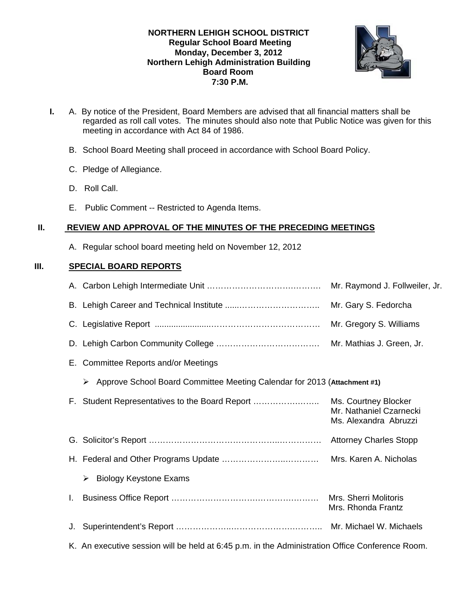### **NORTHERN LEHIGH SCHOOL DISTRICT Regular School Board Meeting Monday, December 3, 2012 Northern Lehigh Administration Building Board Room 7:30 P.M.**



- **I.** A. By notice of the President, Board Members are advised that all financial matters shall be regarded as roll call votes. The minutes should also note that Public Notice was given for this meeting in accordance with Act 84 of 1986.
	- B. School Board Meeting shall proceed in accordance with School Board Policy.
	- C. Pledge of Allegiance.
	- D. Roll Call.
	- E. Public Comment -- Restricted to Agenda Items.

### **II. REVIEW AND APPROVAL OF THE MINUTES OF THE PRECEDING MEETINGS**

A. Regular school board meeting held on November 12, 2012

## **III. SPECIAL BOARD REPORTS**

|    |                                                                                                 | Mr. Raymond J. Follweiler, Jr.                                           |
|----|-------------------------------------------------------------------------------------------------|--------------------------------------------------------------------------|
|    |                                                                                                 | Mr. Gary S. Fedorcha                                                     |
|    |                                                                                                 | Mr. Gregory S. Williams                                                  |
|    |                                                                                                 | Mr. Mathias J. Green, Jr.                                                |
|    | E. Committee Reports and/or Meetings                                                            |                                                                          |
|    | Approve School Board Committee Meeting Calendar for 2013 (Attachment #1)<br>➤                   |                                                                          |
|    | F. Student Representatives to the Board Report                                                  | Ms. Courtney Blocker<br>Mr. Nathaniel Czarnecki<br>Ms. Alexandra Abruzzi |
|    |                                                                                                 |                                                                          |
|    |                                                                                                 | Mrs. Karen A. Nicholas                                                   |
|    | <b>Biology Keystone Exams</b><br>➤                                                              |                                                                          |
| L. |                                                                                                 | <b>Mrs. Sherri Molitoris</b><br>Mrs. Rhonda Frantz                       |
| J. |                                                                                                 |                                                                          |
|    | K. An executive session will be held at 6:45 p.m. in the Administration Office Conference Room. |                                                                          |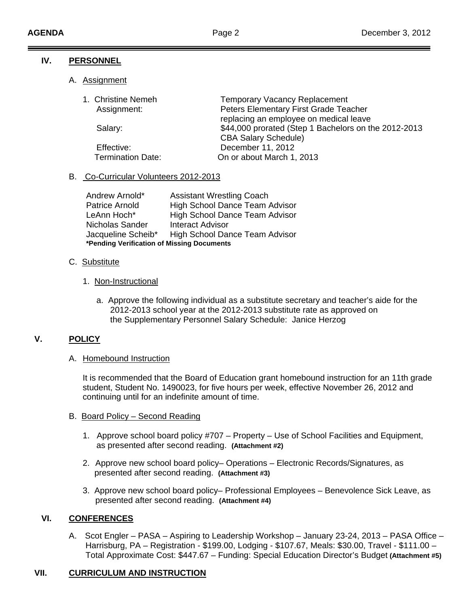### **IV. PERSONNEL**

A. Assignment

| 1. Christine Nemeh<br>Assignment: | <b>Temporary Vacancy Replacement</b><br>Peters Elementary First Grade Teacher       |
|-----------------------------------|-------------------------------------------------------------------------------------|
|                                   | replacing an employee on medical leave                                              |
| Salary:                           | \$44,000 prorated (Step 1 Bachelors on the 2012-2013<br><b>CBA Salary Schedule)</b> |
|                                   |                                                                                     |
| Effective:                        | December 11, 2012                                                                   |
| <b>Termination Date:</b>          | On or about March 1, 2013                                                           |

# B. Co-Curricular Volunteers 2012-2013

| Andrew Arnold*     | <b>Assistant Wrestling Coach</b>           |  |  |
|--------------------|--------------------------------------------|--|--|
| Patrice Arnold     | <b>High School Dance Team Advisor</b>      |  |  |
| LeAnn Hoch*        | <b>High School Dance Team Advisor</b>      |  |  |
| Nicholas Sander    | Interact Advisor                           |  |  |
| Jacqueline Scheib* | High School Dance Team Advisor             |  |  |
|                    | *Pending Verification of Missing Documents |  |  |

### C. Substitute

### 1. Non-Instructional

 a. Approve the following individual as a substitute secretary and teacher's aide for the 2012-2013 school year at the 2012-2013 substitute rate as approved on the Supplementary Personnel Salary Schedule: Janice Herzog

# **V. POLICY**

### A. Homebound Instruction

It is recommended that the Board of Education grant homebound instruction for an 11th grade student, Student No. 1490023, for five hours per week, effective November 26, 2012 and continuing until for an indefinite amount of time.

### B. Board Policy – Second Reading

- 1. Approve school board policy #707 Property Use of School Facilities and Equipment, as presented after second reading. **(Attachment #2)**
- 2. Approve new school board policy– Operations Electronic Records/Signatures, as presented after second reading. **(Attachment #3)**
- 3. Approve new school board policy– Professional Employees Benevolence Sick Leave, as presented after second reading. **(Attachment #4)**

# **VI. CONFERENCES**

A. Scot Engler – PASA – Aspiring to Leadership Workshop – January 23-24, 2013 – PASA Office – Harrisburg, PA – Registration - \$199.00, Lodging - \$107.67, Meals: \$30.00, Travel - \$111.00 – Total Approximate Cost: \$447.67 – Funding: Special Education Director's Budget **(Attachment #5)** 

# **VII. CURRICULUM AND INSTRUCTION**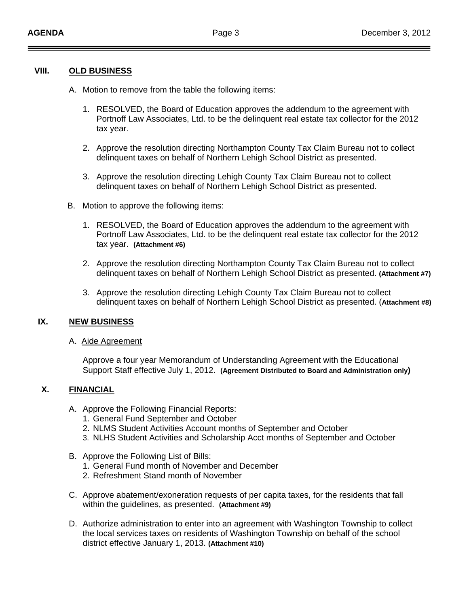#### **VIII. OLD BUSINESS**

- A. Motion to remove from the table the following items:
	- 1. RESOLVED, the Board of Education approves the addendum to the agreement with Portnoff Law Associates, Ltd. to be the delinquent real estate tax collector for the 2012 tax year.
	- 2. Approve the resolution directing Northampton County Tax Claim Bureau not to collect delinquent taxes on behalf of Northern Lehigh School District as presented.
	- 3. Approve the resolution directing Lehigh County Tax Claim Bureau not to collect delinquent taxes on behalf of Northern Lehigh School District as presented.
- B. Motion to approve the following items:
	- 1. RESOLVED, the Board of Education approves the addendum to the agreement with Portnoff Law Associates, Ltd. to be the delinquent real estate tax collector for the 2012 tax year. **(Attachment #6)**
	- 2. Approve the resolution directing Northampton County Tax Claim Bureau not to collect delinquent taxes on behalf of Northern Lehigh School District as presented. **(Attachment #7)**
	- 3. Approve the resolution directing Lehigh County Tax Claim Bureau not to collect delinquent taxes on behalf of Northern Lehigh School District as presented. (**Attachment #8)**

### **IX. NEW BUSINESS**

#### A. Aide Agreement

 Approve a four year Memorandum of Understanding Agreement with the Educational Support Staff effective July 1, 2012. **(Agreement Distributed to Board and Administration only)** 

#### **X. FINANCIAL**

- A. Approve the Following Financial Reports:
	- 1. General Fund September and October
	- 2. NLMS Student Activities Account months of September and October
	- 3. NLHS Student Activities and Scholarship Acct months of September and October
- B. Approve the Following List of Bills:
	- 1. General Fund month of November and December
	- 2. Refreshment Stand month of November
- C. Approve abatement/exoneration requests of per capita taxes, for the residents that fall within the guidelines, as presented. **(Attachment #9)**
- D. Authorize administration to enter into an agreement with Washington Township to collect the local services taxes on residents of Washington Township on behalf of the school district effective January 1, 2013. **(Attachment #10)**